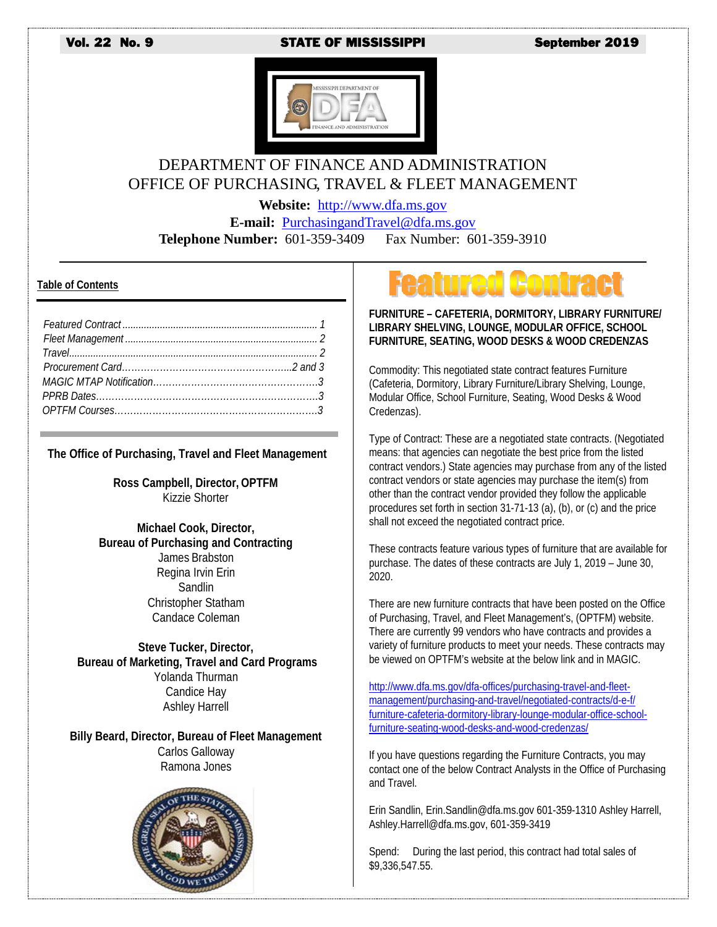#### Vol. 22 No. 9 STATE OF MISSISSIPPI September 2019



### DEPARTMENT OF FINANCE AND ADMINISTRATION OFFICE OF PURCHASING, TRAVEL & FLEET MANAGEMENT

**Website:** [http://www.dfa.ms.gov](http://www.dfa.ms.gov/)

**E-mail:** [PurchasingandTravel@dfa.ms.gov](mailto:PurchasingandTravel@dfa.ms.gov)

**Telephone Number:** 601-359-3409 Fax Number: 601-359-3910

#### **Table of Contents**

| True |  |
|------|--|
|      |  |
|      |  |
|      |  |
|      |  |

#### **The Office of Purchasing, Travel and Fleet Management**

**Ross Campbell, Director, OPTFM** Kizzie Shorter

**Michael Cook, Director, Bureau of Purchasing and Contracting** James Brabston Regina Irvin Erin **Sandlin** Christopher Statham Candace Coleman

**Steve Tucker, Director, Bureau of Marketing, Travel and Card Programs** Yolanda Thurman Candice Hay Ashley Harrell

**Billy Beard, Director, Bureau of Fleet Management** Carlos Galloway Ramona Jones



# **tured Contra**

**FURNITURE – CAFETERIA, DORMITORY, LIBRARY FURNITURE/ LIBRARY SHELVING, LOUNGE, MODULAR OFFICE, SCHOOL FURNITURE, SEATING, WOOD DESKS & WOOD CREDENZAS**

Commodity: This negotiated state contract features Furniture (Cafeteria, Dormitory, Library Furniture/Library Shelving, Lounge, Modular Office, School Furniture, Seating, Wood Desks & Wood Credenzas).

Type of Contract: These are a negotiated state contracts. (Negotiated means: that agencies can negotiate the best price from the listed contract vendors.) State agencies may purchase from any of the listed contract vendors or state agencies may purchase the item(s) from other than the contract vendor provided they follow the applicable procedures set forth in section 31-71-13 (a), (b), or (c) and the price shall not exceed the negotiated contract price.

These contracts feature various types of furniture that are available for purchase. The dates of these contracts are July 1, 2019 – June 30, 2020.

There are new furniture contracts that have been posted on the Office of Purchasing, Travel, and Fleet Management's, (OPTFM) website. There are currently 99 vendors who have contracts and provides a variety of furniture products to meet your needs. These contracts may be viewed on OPTFM's website at the below link and in MAGIC.

[http://www.dfa.ms.gov/dfa-offices/purchasing-travel-and-fleet](http://www.dfa.ms.gov/dfa-offices/purchasing-travel-and-fleet-%20management/purchasing-and-travel/negotiated-contracts/d-e-f/%20furniture-cafeteria-dormitory-library-lounge-modular-office-school-%20furniture-seating-wood-desks-and-wood-credenzas/)[management/purchasing-and-travel/negotiated-contracts/d-e-f/](http://www.dfa.ms.gov/dfa-offices/purchasing-travel-and-fleet-%20management/purchasing-and-travel/negotiated-contracts/d-e-f/%20furniture-cafeteria-dormitory-library-lounge-modular-office-school-%20furniture-seating-wood-desks-and-wood-credenzas/)  [furniture-cafeteria-dormitory-library-lounge-modular-office-school](http://www.dfa.ms.gov/dfa-offices/purchasing-travel-and-fleet-%20management/purchasing-and-travel/negotiated-contracts/d-e-f/%20furniture-cafeteria-dormitory-library-lounge-modular-office-school-%20furniture-seating-wood-desks-and-wood-credenzas/)[furniture-seating-wood-desks-and-wood-credenzas/](http://www.dfa.ms.gov/dfa-offices/purchasing-travel-and-fleet-%20management/purchasing-and-travel/negotiated-contracts/d-e-f/%20furniture-cafeteria-dormitory-library-lounge-modular-office-school-%20furniture-seating-wood-desks-and-wood-credenzas/)

If you have questions regarding the Furniture Contracts, you may contact one of the below Contract Analysts in the Office of Purchasing and Travel.

Erin Sandlin, Erin.Sandlin@dfa.ms.gov 601-359-1310 Ashley Harrell, Ashley.Harrell@dfa.ms.gov, 601-359-3419

Spend: During the last period, this contract had total sales of \$9,336,547.55.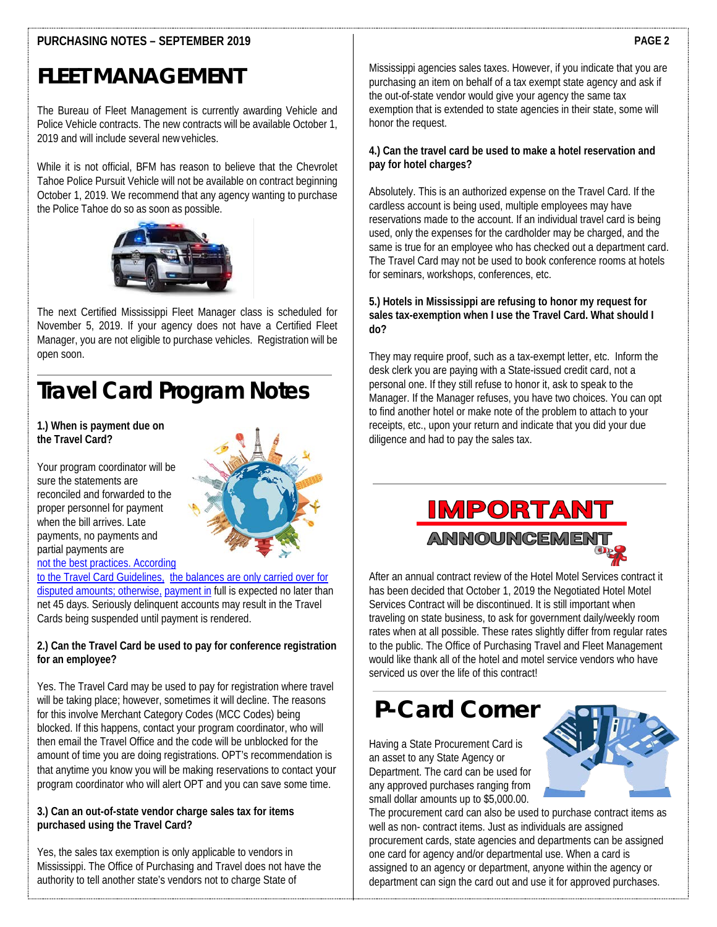### **PURCHASING NOTES – SEPTEMBER 2019**

#### **PAGE 2**

### **FLEET MANAGEMENT**

The Bureau of Fleet Management is currently awarding Vehicle and Police Vehicle contracts. The new contracts will be available October 1, 2019 and will include several newvehicles.

While it is not official, BFM has reason to believe that the Chevrolet Tahoe Police Pursuit Vehicle will not be available on contract beginning October 1, 2019. We recommend that any agency wanting to purchase the Police Tahoe do so as soon as possible.



The next Certified Mississippi Fleet Manager class is scheduled for November 5, 2019. If your agency does not have a Certified Fleet Manager, you are not eligible to purchase vehicles. Registration will be open soon.

## **Travel Card Program Notes**

#### **1.) When is payment due on the Travel Card?**

Your program coordinator will be sure the statements are reconciled and forwarded to the proper personnel for payment when the bill arrives. Late payments, no payments and partial payments are [not the best practices. According](http://www.dfa.ms.gov/dfa-offices/purchasing-travel-and-fleet-management/bureau-of-purchasing-and-contracting/competitive-contracts/) 



[to the Travel Card Guidelines, the balances are only carried over for](http://www.dfa.ms.gov/dfa-offices/purchasing-travel-and-fleet-management/bureau-of-purchasing-and-contracting/competitive-contracts/)  [disputed amounts; otherwise,](http://www.dfa.ms.gov/dfa-offices/purchasing-travel-and-fleet-management/bureau-of-purchasing-and-contracting/competitive-contracts/) [payment in](http://www.dfa.ms.gov/dfa-offices/purchasing-travel-and-fleet-management/bureau-of-purchasing-and-contracting/competitive-contracts/) full is expected no later than net 45 days. Seriously delinquent accounts may result in the Travel Cards being suspended until payment is rendered.

#### **2.) Can the Travel Card be used to pay for conference registration for an employee?**

Yes. The Travel Card may be used to pay for registration where travel will be taking place; however, sometimes it will decline. The reasons for this involve Merchant Category Codes (MCC Codes) being blocked. If this happens, contact your program coordinator, who will then email the Travel Office and the code will be unblocked for the amount of time you are doing registrations. OPT's recommendation is that anytime you know you will be making reservations to contact your program coordinator who will alert OPT and you can save some time.

#### **3.) Can an out-of-state vendor charge sales tax for items purchased using the Travel Card?**

Yes, the sales tax exemption is only applicable to vendors in Mississippi. The Office of Purchasing and Travel does not have the authority to tell another state's vendors not to charge State of

Mississippi agencies sales taxes. However, if you indicate that you are purchasing an item on behalf of a tax exempt state agency and ask if the out-of-state vendor would give your agency the same tax exemption that is extended to state agencies in their state, some will honor the request.

#### **4.) Can the travel card be used to make a hotel reservation and pay for hotel charges?**

Absolutely. This is an authorized expense on the Travel Card. If the cardless account is being used, multiple employees may have reservations made to the account. If an individual travel card is being used, only the expenses for the cardholder may be charged, and the same is true for an employee who has checked out a department card. The Travel Card may not be used to book conference rooms at hotels for seminars, workshops, conferences, etc.

#### **5.) Hotels in Mississippi are refusing to honor my request for sales tax-exemption when I use the Travel Card. What should I do?**

They may require proof, such as a tax-exempt letter, etc. Inform the desk clerk you are paying with a State-issued credit card, not a personal one. If they still refuse to honor it, ask to speak to the Manager. If the Manager refuses, you have two choices. You can opt to find another hotel or make note of the problem to attach to your receipts, etc., upon your return and indicate that you did your due diligence and had to pay the sales tax.

## **IMPORTANT**



After an annual contract review of the Hotel Motel Services contract it has been decided that October 1, 2019 the Negotiated Hotel Motel Services Contract will be discontinued. It is still important when traveling on state business, to ask for government daily/weekly room rates when at all possible. These rates slightly differ from regular rates to the public. The Office of Purchasing Travel and Fleet Management would like thank all of the hotel and motel service vendors who have serviced us over the life of this contract

### **[P-Card Corner](http://www.dfa.ms.gov/dfa-offices/purchasing-travel-and-fleet-management/bureau-of-fleet-management/)**

Having a State Procurement Card is an asset to any State Agency or Department. The card can be used for any approved purchases ranging from small dollar amounts up to \$5,000.00.



The procurement card can also be used to purchase contract items as well as non- contract items. Just as individuals are assigned procurement cards, state agencies and departments can be assigned one card for agency and/or departmental use. When a card is assigned to an agency or department, anyone within the agency or department can sign the card out and use it for approved purchases.